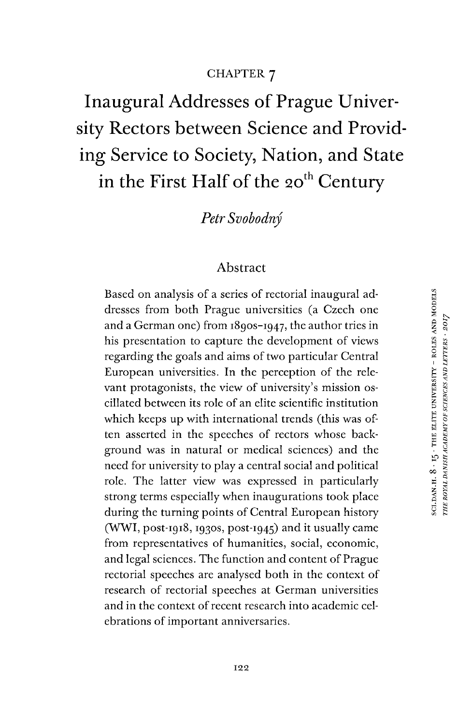### CHAPTER 7

Inaugural Addresses of Prague University Rectors between Science and Providing Service to Society, Nation, and State in the First Half of the 20<sup>th</sup> Century

*Petr Svobodny*

#### Abstract

Based on analysis of a series of rectorial inaugural addresses from both Prague universities (a Czech one and a German one) from 1890S-1947, the author tries in his presentation to capture the development of views regarding the goals and aims of two particular Central European universities. In the perception of the relevant protagonists, the view of university's mission oscillated between its role of an elite scientific institution which keeps up with international trends (this was often asserted in the speeches of rectors whose background was in natural or medical sciences) and the need for university to play a central social and political role. The latter view was expressed in particularly strong terms especially when inaugurations took place during the turning points of Central European history  $(WWI, post-1918,1930s, post-1945)$  and it usually came from representatives of humanities, social, economic, and legal sciences. The function and content of Prague rectorial speeches are analysed both in the context of research of rectorial speeches at German universities and in the context of recent research into academic celebrations of important anniversaries.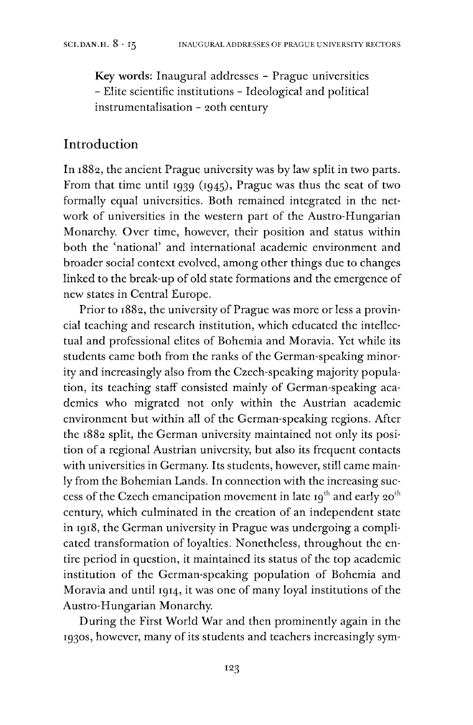**Key words:** Inaugural addresses - Prague universities - Elite scientific institutions - Ideological and political instrumentalisation - 20th century

### Introduction

In 1882, the ancient Prague university was by law split in two parts. From that time until 1939 (1945), Prague was thus the seat of two formally equal universities. Both remained integrated in the network of universities in the western part of the Austro-Hungarian Monarchy. Over time, however, their position and status within both the 'national' and international academic environment and broader social context evolved, among other things due to changes linked to the break-up of old state formations and the emergence of new states in Central Europe.

Prior to 1882, the university of Prague was more or less a provincial teaching and research institution, which educated the intellectual and professional elites of Bohemia and Moravia. Yet while its students came both from the ranks of the German-speaking minority and increasingly also from the Czech-speaking majority population, its teaching staff consisted mainly of German-speaking academics who migrated not only within the Austrian academic environment but within all of the German-speaking regions. After the 1882 split, the German university maintained not only its position of a regional Austrian university, but also its frequent contacts with universities in Germany. Its students, however, still came mainly from the Bohemian Lands. In connection with the increasing success of the Czech emancipation movement in late  $19<sup>th</sup>$  and early  $20<sup>th</sup>$ century, which culminated in the creation of an independent state in 1918, the German university in Prague was undergoing a complicated transformation of loyalties. Nonetheless, throughout the entire period in question, it maintained its status of the top academic institution of the German-speaking population of Bohemia and Moravia and until 1914, it was one of many loyal institutions of the Austro-Hungarian Monarchy.

During the First World War and then prominently again in the 1930s, however, many of its students and teachers increasingly sym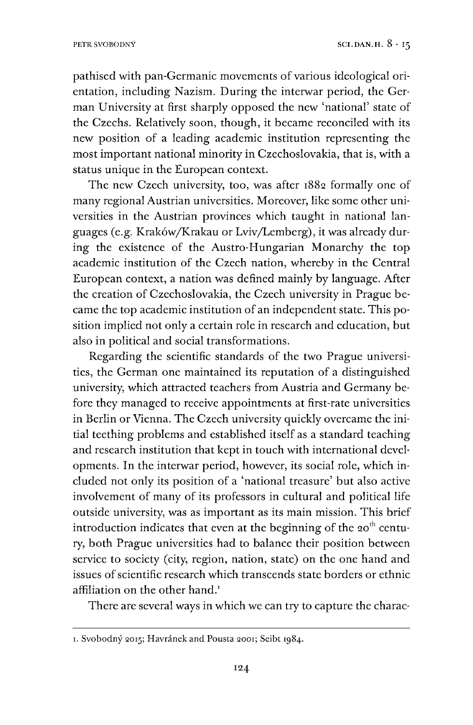pathised with pan-Germanic movements of various ideological orientation, including Nazism. During the interwar period, the German University at first sharply opposed the new 'national' state of the Czechs. Relatively soon, though, it became reconciled with its new position of a leading academic institution representing the most important national minority in Czechoslovakia, that is, with a status unique in the European context.

The new Czech university, too, was after 1882 formally one of many regional Austrian universities. Moreover, like some other universities in the Austrian provinces which taught in national languages (e.g. Kraköw/Krakau or Lviv/Lemberg), it was already during the existence of the Austro-Hungarian Monarchy the top academic institution of the Czech nation, whereby in the Central European context, a nation was defined mainly by language. After the creation of Czechoslovakia, the Czech university in Prague became the top academic institution of an independent state. This position implied not only a certain role in research and education, but also in political and social transformations.

Regarding the scientific standards of the two Prague universities, the German one maintained its reputation of a distinguished university, which attracted teachers from Austria and Germany before they managed to receive appointments at first-rate universities in Berlin or Vienna. The Czech university quickly overcame the initial teething problems and established itself as a standard teaching and research institution that kept in touch with international developments. In the interwar period, however, its social role, which included not only its position of a 'national treasure' but also active involvement of many of its professors in cultural and political life outside university, was as important as its main mission. This brief introduction indicates that even at the beginning of the  $20<sup>th</sup>$  century, both Prague universities had to balance their position between service to society (city, region, nation, state) on the one hand and issues of scientific research which transcends state borders or ethnic affiliation on the other hand.<sup>[1](#page-2-0)</sup>

There are several ways in which we can try to capture the charac-

<span id="page-2-0"></span>i. Svobodny 2015; Havrånek and Pousta 2001; Seibt 1984.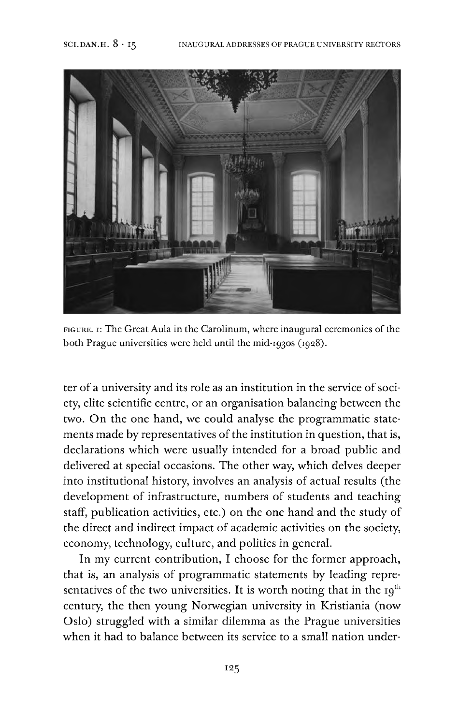

FIGURE. I: The Great Aula in the Carolinum, where inaugural ceremonies of the both Prague universities were held until the mid-1930s (1928).

ter of a university and its role as an institution in the service of society, elite scientific centre, or an organisation balancing between the two. On the one hand, we could analyse the programmatic statements made by representatives of the institution in question, that is, declarations which were usually intended for a broad public and delivered at special occasions. The other way, which delves deeper into institutional history, involves an analysis of actual results (the development of infrastructure, numbers of students and teaching staff, publication activities, etc.) on the one hand and the study of the direct and indirect impact of academic activities on the society, economy, technology, culture, and politics in general.

In my current contribution, I choose for the former approach, that is, an analysis of programmatic statements by leading representatives of the two universities. It is worth noting that in the  $19<sup>th</sup>$ century, the then young Norwegian university in Kristiania (now Oslo) struggled with a similar dilemma as the Prague universities when it had to balance between its service to a small nation under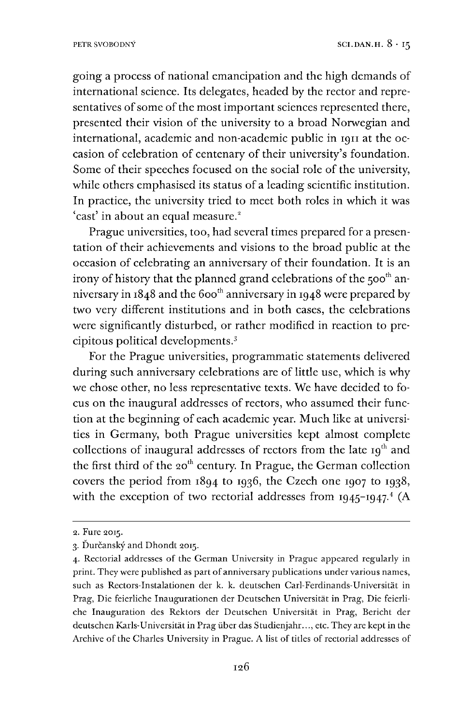going a process of national emancipation and the high demands of international science. Its delegates, headed by the rector and representatives of some of the most important sciences represented there, presented their vision of the university to a broad Norwegian and international, academic and non-academic public in <sup>1911</sup> at the occasion of celebration of centenary of their university's foundation. Some of their speeches focused on the social role of the university, while others emphasised its status of a leading scientific institution. In practice, the university tried to meet both roles in which it was 'cast' in about an equal measure.<sup>2</sup>

Prague universities, too, had several times prepared for a presentation of their achievements and visions to the broad public at the occasion of celebrating an anniversary of their foundation. It is an irony of history that the planned grand celebrations of the  $500<sup>th</sup>$  anniversary in  $1848$  and the 600<sup>th</sup> anniversary in 1948 were prepared by two very different institutions and in both cases, the celebrations were significantly disturbed, or rather modified in reaction to precipitous political developments.<sup>3</sup>

For the Prague universities, programmatic statements delivered during such anniversary celebrations are of little use, which is why we chose other, no less representative texts. We have decided to focus on the inaugural addresses of rectors, who assumed their function at the beginning of each academic year. Much like at universities in Germany, both Prague universities kept almost complete collections of inaugural addresses of rectors from the late  $I_9$ <sup>th</sup> and the first third of the  $20<sup>th</sup>$  century. In Prague, the German collection covers the period from 1894 to 1936, the Czech one 1907 to 1938, with the exception of two rectorial addresses from  $1945$  $1945$  $1945$ -1947.<sup>4</sup> (A

<sup>2.</sup> Fure 2015.

<span id="page-4-0"></span><sup>3.</sup> Durcansky and Dhondt 2015.

<span id="page-4-1"></span><sup>4.</sup> Rectorial addresses of the German University in Prague appeared regularly in print. They were published as part of anniversary publications under various names, such as Rectors-Instalationen der k. k. deutschen Carl-Ferdinands-Universität in Prag, Die feierliche Inaugurationen der Deutschen Universität in Prag, Die feierliche Inauguration des Rektors der Deutschen Universität in Prag, Bericht der deutschen Karls-Universität in Prag über das Studienjahr..., etc. They are kept in the Archive of the Charles University in Prague. A list of titles of rectorial addresses of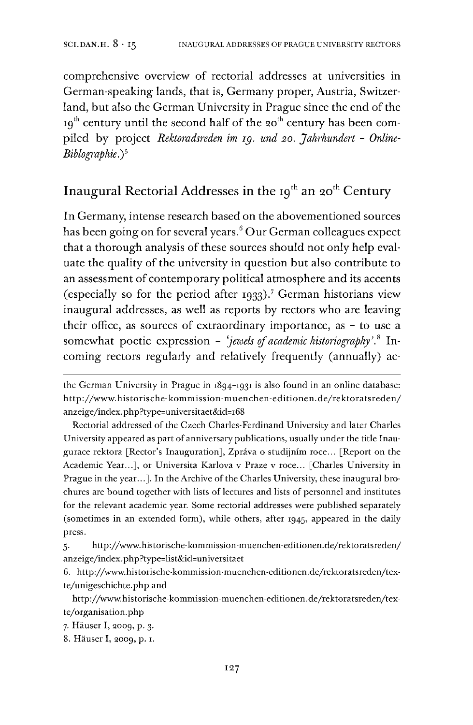comprehensive overview of rectorial addresses at universities in German-speaking lands, that is, Germany proper, Austria, Switzerland, but also the German University in Prague since the end of the  $19<sup>th</sup>$  century until the second half of the 20<sup>th</sup> century has been compiled by project *Rektoradsreden im ig. und 20. Jahrhundert - Online-Biblographie.*)<sup>5</sup>

# Inaugural Rectorial Addresses in the  $19<sup>th</sup>$  an  $20<sup>th</sup>$  Century

In Germany, intense research based on the abovementioned sources has been going on for several years. $6$  Our German colleagues expect that a thorough analysis of these sources should not only help evaluate the quality of the university in question but also contribute to an assessment of contemporary political atmosphere and its accents (especially so for the period after 1933).<sup>[7](#page-5-1)</sup> German historians view inaugural addresses, as well as reports by rectors who are leaving their office, as sources of extraordinary importance, as - to use a somewhat poetic expression - *'jewels ofacademic historiography'*,[8](#page-5-2) Incoming rectors regularly and relatively frequently (annually) ac-

Rectorial addressed of the Czech Charles-Ferdinand University and later Charles University appeared as part of anniversary publications, usually under the title Inaugurace rektora [Rector's Inauguration], Zpråva o studijnim roce... [Report on the Academic Year...], or Universita Karlova v Praze v roce... [Charles University in Prague in the year...]. In the Archive of the Charles University, these inaugural brochures are bound together with lists of lectures and lists of personnel and institutes for the relevant academic year. Some rectorial addresses were published separately (sometimes in an extended form), while others, after 1945, appeared in the daily press.

5. http://www.historische-kommission-muenchen-editionen.de/rektoratsreden/ anzeige/index.php?type=list&id=universitaet

<span id="page-5-0"></span>6. http://www.historische-kommission-muenchen-editionen.de/rektoratsreden/texte/unigeschichte.php and

http://www.historische-kommission-muenchen-editionen.de/rektoratsreden/texte/organisation.php

<span id="page-5-1"></span>7. Häuser I, 2009, p. 3.

<span id="page-5-2"></span>8. Häuser I, 2009, p. 1.

the German University in Prague in 1894-1931 is also found in an online database: http://www.historische-kommission-muenchen-editionen.de/rektoratsreden/ anzeige/index.php?type=universitaet&id=i68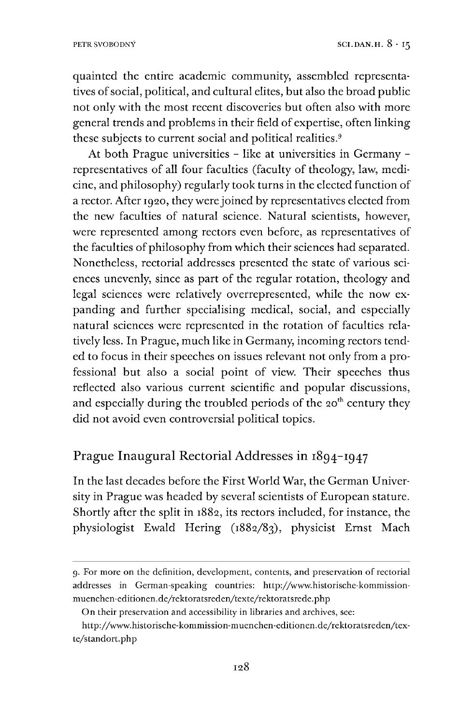quainted the entire academic community, assembled representatives of social, political, and cultural elites, but also the broad public not only with the most recent discoveries but often also with more general trends and problems in their field of expertise, often linking these subjects to current social and political realities.<sup>9</sup>

At both Prague universities - like at universities in Germany representatives of all four faculties (faculty of theology, law, medicine, and philosophy) regularly took turns in the elected function of a rector. After 1920, they were joined by representatives elected from the new faculties of natural science. Natural scientists, however, were represented among rectors even before, as representatives of the faculties of philosophy from which their sciences had separated. Nonetheless, rectorial addresses presented the state of various sciences unevenly, since as part of the regular rotation, theology and legal sciences were relatively overrepresented, while the now expanding and further specialising medical, social, and especially natural sciences were represented in the rotation of faculties relatively less. In Prague, much like in Germany, incoming rectors tended to focus in their speeches on issues relevant not only from a professional but also a social point of view. Their speeches thus reflected also various current scientific and popular discussions, and especially during the troubled periods of the 20<sup>th</sup> century they did not avoid even controversial political topics.

## Prague Inaugural Rectorial Addresses in 1894-1947

In the last decades before the First World War, the German University in Prague was headed by several scientists of European stature. Shortly after the split in 1882, its rectors included, for instance, the physiologist Ewald Hering (1882/83), physicist Ernst Mach

<sup>9.</sup> For more on the definition, development, contents, and preservation of rectorial addresses in German-speaking countries: http://www.historische-kommissionmuenchen-editionen.de/rektoratsreden/texte/rektoratsrede.php

On their preservation and accessibility in libraries and archives, see:

http://www.historische-kommission-muenchen-editionen.de/rektoratsreden/texte/standort.php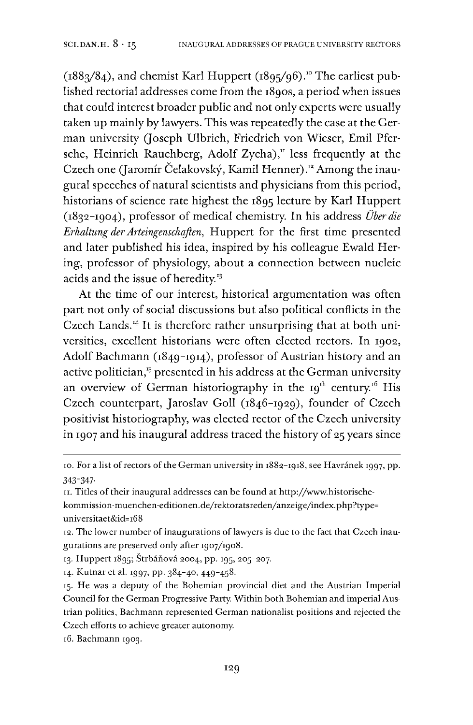$(1883/84)$ , and chemist Karl Huppert  $(1895/96)$ .<sup>[10](#page-7-0)</sup> The earliest published rectorial addresses come from the 1890s, a period when issues that could interest broader public and not only experts were usually taken up mainly by lawyers. This was repeatedly the case at the German university (Joseph Ulbrich, Friedrich von Wieser, Emil Pfersche, Heinrich Rauchberg, Adolf Zycha), $\frac{n}{l}$  less frequently at the Czech one (Jaromír Čelakovský, Kamil Henner).<sup>12</sup> Among the inaugural speeches of natural scientists and physicians from this period, historians of science rate highest the 1895 lecture by Karl Huppert (1832-1904), professor of medical chemistry. In his address *Über die Erhaltung derArteingenschaften,* Huppert for the first time presented and later published his idea, inspired by his colleague Ewald Hering, professor of physiology, about a connection between nucleic acids and the issue of heredity.<sup>[13](#page-7-2)</sup>

At the time of our interest, historical argumentation was often part not only of social discussions but also political conflicts in the Czech Lands.<sup>[14](#page-7-3)</sup> It is therefore rather unsurprising that at both universities, excellent historians were often elected rectors. In 1902, Adolf Bachmann (1849-1914), professor of Austrian history and an active politician,<sup>[15](#page-7-4)</sup> presented in his address at the German university an overview of German historiography in the  $19<sup>th</sup>$  century.<sup>[16](#page-7-5)</sup> His Czech counterpart, Jaroslav Goll (1846-1929), founder of Czech positivist historiography, was elected rector of the Czech university in 1907 and his inaugural address traced the history of 25 years since

<span id="page-7-1"></span>11. Titles oftheir inaugural addresses can be found at http://www.historischekommission-muenchen-editionen.de/rektoratsreden/anzeige/index.php?type= universitaet&id=i68

- 12. The lower number of inaugurations of lawyers is due to the fact that Czech inaugurations are preserved only after 1907/1908.
- <span id="page-7-2"></span>13. Huppert 1895; Štrbáňová 2004, pp. 195, 205-207.

<span id="page-7-3"></span>14. Kutnar et al. 1997, pp. 384-40, 449-458.

<span id="page-7-5"></span>16. Bachmann 1903.

<span id="page-7-0"></span><sup>10.</sup> For a list of rectors of the German university in 1882-1918, see Havránek 1997, pp. 343-347-

<span id="page-7-4"></span><sup>15.</sup> He was a deputy of the Bohemian provincial diet and the Austrian Imperial Council for the German Progressive Party. Within both Bohemian and imperial Austrian politics, Bachmann represented German nationalist positions and rejected the Czech efforts to achieve greater autonomy.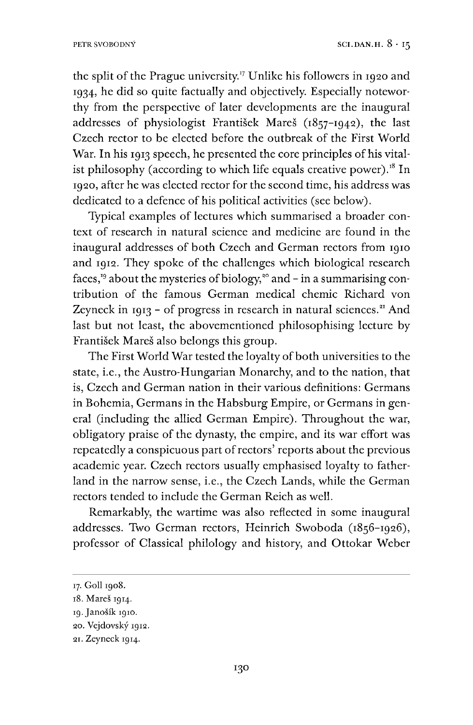the split of the Prague university.<sup>[17](#page-8-0)</sup> Unlike his followers in 1920 and 1934, he did so quite factually and objectively. Especially noteworthy from the perspective of later developments are the inaugural addresses of physiologist Frantisek Mares (1857-1942), the last Czech rector to be elected before the outbreak of the First World War. In his 1913 speech, he presented the core principles of his vital-ist philosophy (according to which life equals creative power).<sup>[18](#page-8-1)</sup> In 1920, after he was elected rector for the second time, his address was dedicated to a defence of his political activities (see below).

Typical examples of lectures which summarised a broader context of research in natural science and medicine are found in the inaugural addresses of both Czech and German rectors from 1910 and 1912. They spoke of the challenges which biological research faces,<sup>[19](#page-8-2)</sup> about the mysteries of biology,<sup>20</sup> and  $-$  in a summarising contribution of the famous German medical chemic Richard von Zeyneck in 1913 - of progress in research in natural sciences. $21$  And last but not least, the abovementioned philosophising lecture by Frantisek Mares also belongs this group.

The First World War tested the loyalty of both universities to the state, i.e., the Austro-Hungarian Monarchy, and to the nation, that is, Czech and German nation in their various definitions: Germans in Bohemia, Germans in the Habsburg Empire, or Germans in general (including the allied German Empire). Throughout the war, obligatory praise of the dynasty, the empire, and its war effort was repeatedly a conspicuous part of rectors' reports about the previous academic year. Czech rectors usually emphasised loyalty to fatherland in the narrow sense, i.e., the Czech Lands, while the German rectors tended to include the German Reich as well.

Remarkably, the wartime was also reflected in some inaugural addresses. Two German rectors, Heinrich Swoboda (1856-1926), professor of Classical philology and history, and Ottokar Weber

<span id="page-8-0"></span><sup>17.</sup> Goll 1908.

<span id="page-8-1"></span><sup>18.</sup> Mares 1914.

<span id="page-8-2"></span><sup>19.</sup> Janošík 1910.

<sup>20.</sup> Vejdovsky 1912.

<sup>21.</sup> Zeyneck 1914.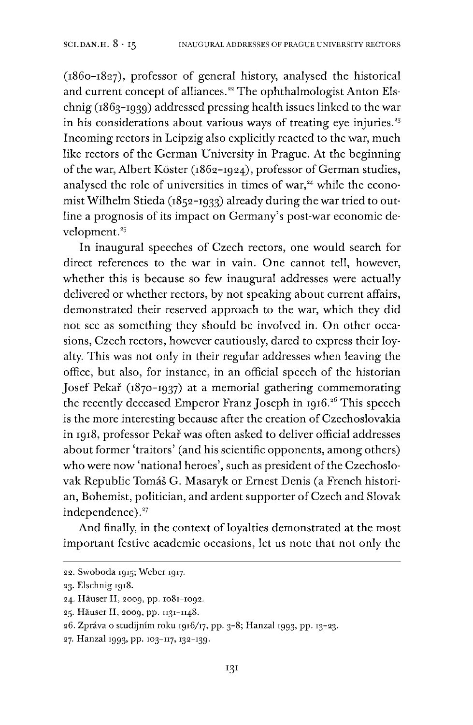(1860-1827), professor of general history, analysed the historical and current concept of alliances.<sup>22</sup> The ophthalmologist Anton Elschnig (1863-1939) addressed pressing health issues linked to the war in his considerations about various ways of treating eye injuries. $33$ Incoming rectors in Leipzig also explicitly reacted to the war, much like rectors of the German University in Prague. At the beginning of the war, Albert Köster (1862-1924), professor of German studies, analysed the role of universities in times of war, $24$  while the economist Wilhelm Stieda (1852-1933) already during the war tried to outline a prognosis of its impact on Germany's post-war economic development.<sup>25</sup>

In inaugural speeches of Czech rectors, one would search for direct references to the war in vain. One cannot tell, however, whether this is because so few inaugural addresses were actually delivered or whether rectors, by not speaking about current affairs, demonstrated their reserved approach to the war, which they did not see as something they should be involved in. On other occasions, Czech rectors, however cautiously, dared to express their loyalty. This was not only in their regular addresses when leaving the office, but also, for instance, in an official speech of the historian Josef Pekař (1870–1937) at a memorial gathering commemorating the recently deceased Emperor Franz Joseph in 1916.<sup>26</sup> This speech is the more interesting because after the creation of Czechoslovakia in 1918, professor Pekař was often asked to deliver official addresses about former 'traitors' (and his scientific opponents, among others) who were now 'national heroes', such as president of the Czechoslovak Republic Tomås G. Masaryk or Ernest Denis (a French historian, Bohemist, politician, and ardent supporter of Czech and Slovak independence).<sup>27</sup>

And finally, in the context of loyalties demonstrated at the most important festive academic occasions, let us note that not only the

<sup>22.</sup> Swoboda 1915; Weber 1917.

<sup>23.</sup> Elschnig 1918.

<sup>24.</sup> Häuser II, 2009, pp. 1081-1092.

<sup>25.</sup> Häuser II, 2009, pp. 1131-1148.

<sup>26.</sup> Zpråva o studijmm roku 1916/17, pp. 3-8; Hanzal 1993, pp. 13-23.

<sup>27.</sup> Hanzal 1993, pp. 103-117,132-139.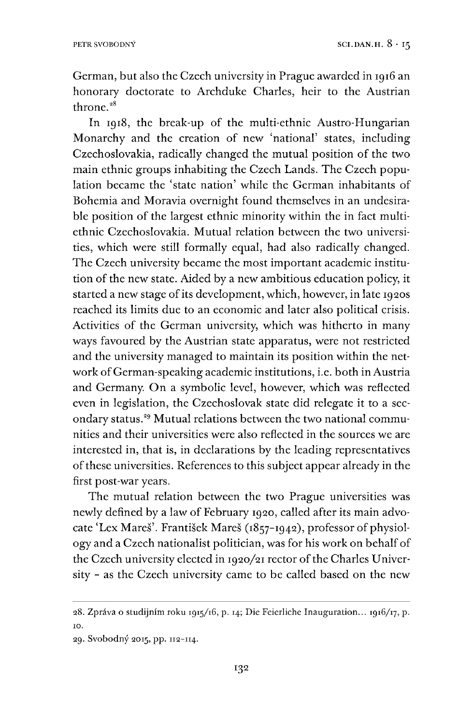German, but also the Czech university in Prague awarded in 1916 an honorary doctorate to Archduke Charles, heir to the Austrian throne. $38$ 

In 1918, the break-up of the multi-ethnic Austro-Hungarian Monarchy and the creation of new 'national' states, including Czechoslovakia, radically changed the mutual position of the two main ethnic groups inhabiting the Czech Lands. The Czech population became the 'state nation' while the German inhabitants of Bohemia and Moravia overnight found themselves in an undesirable position of the largest ethnic minority within the in fact multiethnic Czechoslovakia. Mutual relation between the two universities, which were still formally equal, had also radically changed. The Czech university became the most important academic institution of the new state. Aided by a new ambitious education policy, it started a new stage of its development, which, however, in late 1920s reached its limits due to an economic and later also political crisis. Activities of the German university, which was hitherto in many ways favoured by the Austrian state apparatus, were not restricted and the university managed to maintain its position within the network of German-speaking academic institutions, i.e. both in Austria and Germany. On a symbolic level, however, which was reflected even in legislation, the Czechoslovak state did relegate it to a secondary status."<sup>9</sup> Mutual relations between the two national communities and their universities were also reflected in the sources we are interested in, that is, in declarations by the leading representatives ofthese universities. References to this subject appear already in the first post-war years.

The mutual relation between the two Prague universities was newly defined by a law of February 1920, called after its main advocate 'Lex Mares'. Frantisek Mares (1857-1942), professor of physiology and a Czech nationalist politician, was for his work on behalf of the Czech university elected in 1920/21 rector of the Charles University - as the Czech university came to be called based on the new

<sup>28.</sup> Zpråva o studijmm roku 1915/16, p. 14; Die Feierliche Inauguration... 1916/17, p. 10.

<sup>29.</sup> Svobodny 2015, pp. 112-114.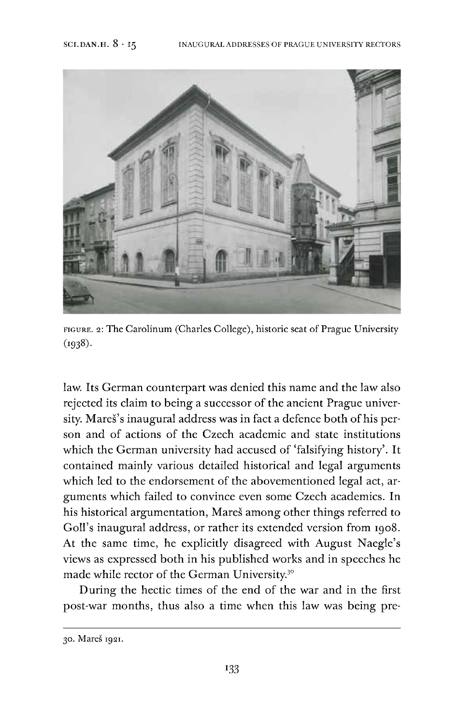

figure. 2: The Carolinum (Charles College), historic seat of Prague University (i938)-

law. Its German counterpart was denied this name and the law also rejected its claim to being a successor of the ancient Prague university. Mares's inaugural address was in fact a defence both of his person and of actions of the Czech academic and state institutions which the German university had accused of 'falsifying history'. It contained mainly various detailed historical and legal arguments which led to the endorsement of the abovementioned legal act, arguments which failed to convince even some Czech academics. In his historical argumentation, Mares among other things referred to Goll's inaugural address, or rather its extended version from 1908. At the same time, he explicitly disagreed with August Naegle's views as expressed both in his published works and in speeches he made while rector of the German University.3"

During the hectic times of the end of the war and in the first post-war months, thus also a time when this law was being pre-

<sup>30.</sup> Mares 1921.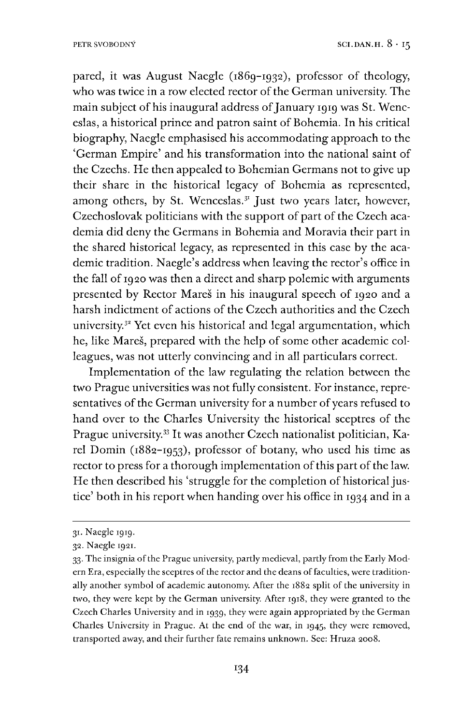pared, it was August Naegle (1869-1932), professor of theology, who was twice in a row elected rector of the German university. The main subject of his inaugural address of January 1919 was St. Wenceslas, a historical prince and patron saint of Bohemia. In his critical biography, Naegle emphasised his accommodating approach to the 'German Empire' and his transformation into the national saint of the Czechs. He then appealed to Bohemian Germans not to give up their share in the historical legacy of Bohemia as represented, among others, by St. Wenceslas. $31$  Just two years later, however, Czechoslovak politicians with the support of part of the Czech academia did deny the Germans in Bohemia and Moravia their part in the shared historical legacy, as represented in this case by the academic tradition. Naegle's address when leaving the rector's office in the fall of 1920 was then a direct and sharp polemic with arguments presented by Rector Mares in his inaugural speech of 1920 and a harsh indictment of actions of the Czech authorities and the Czech university.<sup>32</sup> Yet even his historical and legal argumentation, which he, like Mareš, prepared with the help of some other academic colleagues, was not utterly convincing and in all particulars correct.

Implementation of the law regulating the relation between the two Prague universities was not fully consistent. For instance, representatives of the German university for a number of years refused to hand over to the Charles University the historical sceptres of the Prague university.<sup>[33](#page-12-1)</sup> It was another Czech nationalist politician, Karel Dornin (1882-1953), professor of botany, who used his time as rector to press for a thorough implementation of this part of the law. He then described his 'struggle for the completion of historical justice' both in his report when handing over his office in 1934 and in a

<span id="page-12-0"></span><sup>31.</sup> Naegle 1919.

<sup>32.</sup> Naegle 1921.

<span id="page-12-1"></span><sup>33.</sup> The insignia ofthe Prague university, partly medieval, partly from the Early Modern Era, especially the sceptres of the rector and the deans of faculties, were traditionally another symbol of academic autonomy. After the 1882 split of the university in two, they were kept by the German university. After 1918, they were granted to the Czech Charles University and in 1939, they were again appropriated by the German Charles University in Prague. At the end of the war, in 1945, they were removed, transported away, and their further fate remains unknown. See: Hruza 2008.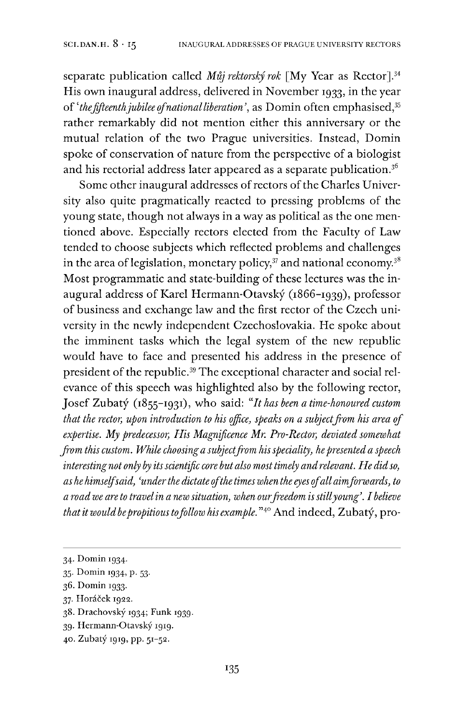separate publication called *Muj rektorsky rok* [My Year as Rector].[34](#page-13-0) His own inaugural address, delivered in November 1933, in the year of '*thefifteenthjubilee ofnationalliberation'*as Domin often emphasised,[35](#page-13-1) rather remarkably did not mention either this anniversary or the mutual relation of the two Prague universities. Instead, Domin spoke of conservation of nature from the perspective of a biologist and his rectorial address later appeared as a separate publication.<sup>[36](#page-13-2)</sup>

Some other inaugural addresses of rectors of the Charles University also quite pragmatically reacted to pressing problems of the young state, though not always in a way as political as the one mentioned above. Especially rectors elected from the Faculty of Law tended to choose subjects which reflected problems and challenges in the area of legislation, monetary policy, $3\overline{7}$  and national economy.<sup>[38](#page-13-4)</sup> Most programmatic and state-building of these lectures was the inaugural address of Karel Hermann-Otavsky (1866-1939), professor of business and exchange law and the first rector of the Czech university in the newly independent Czechoslovakia. He spoke about the imminent tasks which the legal system of the new republic would have to face and presented his address in the presence of president of the republic.<sup>[39](#page-13-5)</sup> The exceptional character and social relevance of this speech was highlighted also by the following rector, Josef Zubaty (1855-1931), who said: "*It has been a time-honoured custom that the rector, upon introduction to his office, speaks on a subjectfrom his area of expertise. My predecessor, His Magnificence Mr. Pro-Rector, deviated somewhat from this custom. While choosinga subjectfrom hisspeciality, hepresented a speech interestingnot only by itsscientific core butalso most timely andrelevant. He didso, as he himselfsaid, 'underthe dictateofthe timeswhen the eyes ofallaimforwards, to <sup>a</sup> roadwe are to travelin <sup>a</sup> new situation, when ourfreedom isstillyoung'. Ibelieve thatitwouldbepropitioustofollow his example."*[40](#page-13-6) And indeed, Zubaty, pro-

<span id="page-13-0"></span><sup>34.</sup> Domin 1934.

<span id="page-13-1"></span><sup>35.</sup> Domin 1934, p. 53.

<span id="page-13-2"></span><sup>36.</sup> Domin 1933.

<span id="page-13-3"></span><sup>37.</sup> Horåcek 1922.

<span id="page-13-4"></span><sup>38.</sup> Drachovsky 1934; Funk 1939.

<span id="page-13-5"></span><sup>39.</sup> Hermann-Otavsky 1919.

<span id="page-13-6"></span><sup>40.</sup> Zubaty 1919, pp. 51-52.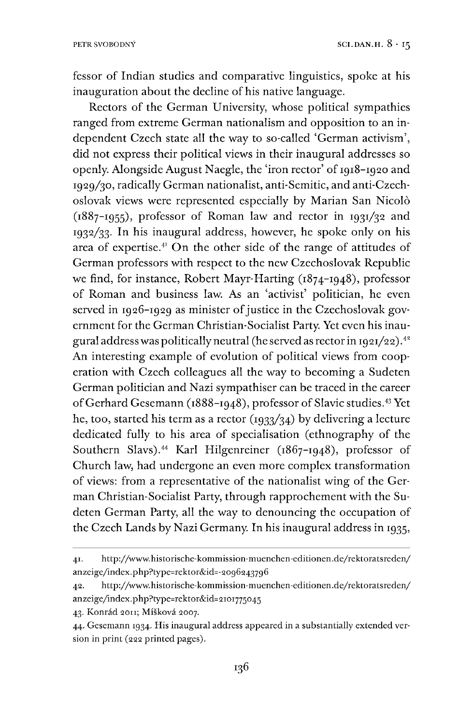fessor of Indian studies and comparative linguistics, spoke at his inauguration about the decline of his native language.

Rectors of the German University, whose political sympathies ranged from extreme German nationalism and opposition to an independent Czech state all the way to so-called 'German activism', did not express their political views in their inaugural addresses so openly. Alongside August Naegle, the 'iron rector' of 1918-1920 and 1929/30, radically German nationalist, anti-Semitic, and anti-Czechoslovak views were represented especially by Marian San Nicolo (1887-1955), professor of Roman law and rector in 1931/32 and 1932/33. In his inaugural address, however, he spoke only on his area of expertise. $41$  On the other side of the range of attitudes of German professors with respect to the new Czechoslovak Republic we find, for instance, Robert Mayr-Harting (1874-1948), professor of Roman and business law. As an 'activist' politician, he even served in 1926-1929 as minister of justice in the Czechoslovak government for the German Christian-Socialist Party. Yet even his inaugural address was politically neutral (he served as rector in 1921/22).<sup>42</sup> An interesting example of evolution of political views from cooperation with Czech colleagues all the way to becoming a Sudeten German politician and Nazi sympathiser can be traced in the career ofGerhard Gesemann (1888-1948), professor of Slavic studies.[43](#page-14-1) Yet he, too, started his term as a rector  $(1933/34)$  by delivering a lecture dedicated fully to his area of specialisation (ethnography of the Southern Slavs).<sup>[44](#page-14-2)</sup> Karl Hilgenreiner (1867-1948), professor of Church law, had undergone an even more complex transformation of views: from a representative of the nationalist wing of the German Christian-Socialist Party, through rapprochement with the Sudeten German Party, all the way to denouncing the occupation of the Czech Lands by Nazi Germany. In his inaugural address in 1935,

<span id="page-14-1"></span>43. Konrád 2011; Míšková 2007.

<span id="page-14-0"></span><sup>41.</sup> http://www.historische-kommission-muenchen-editionen.de/rektoratsreden/ anzeige/index.php?type=rektor&id=-2og62437g6

<sup>42.</sup> http://www.historische-kommission-muenchen-editionen.de/rektoratsreden/ anzeige/index.php?type=rektor&id=2ioi775O45

<span id="page-14-2"></span><sup>44.</sup> Gesemann ig34- His inaugural address appeared in a substantially extended version in print (222 printed pages).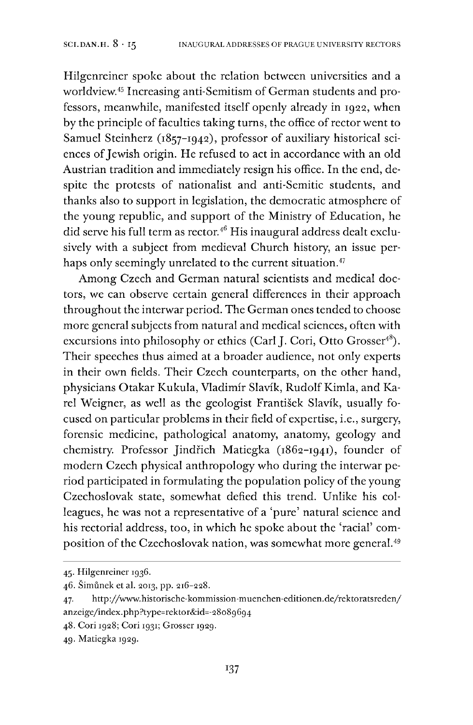Hilgenreiner spoke about the relation between universities and a worldview.[45](#page-15-0) Increasing anti-Semitism of German students and professors, meanwhile, manifested itself openly already in 1922, when by the principle of faculties taking turns, the office of rector went to Samuel Steinherz (1857-1942), professor of auxiliary historical sciences of Jewish origin. He refused to act in accordance with an old Austrian tradition and immediately resign his office. In the end, despite the protests of nationalist and anti-Semitic students, and thanks also to support in legislation, the democratic atmosphere of the young republic, and support of the Ministry of Education, he did serve his full term as rector.[46](#page-15-1) His inaugural address dealt exclusively with a subject from medieval Church history, an issue per-haps only seemingly unrelated to the current situation.<sup>[47](#page-15-2)</sup>

Among Czech and German natural scientists and medical doctors, we can observe certain general differences in their approach throughout the interwar period. The German ones tended to choose more general subjects from natural and medical sciences, often with excursions into philosophy or ethics (Carl J. Cori, Otto Grosser<sup>[48](#page-15-3)</sup>). Their speeches thus aimed at a broader audience, not only experts in their own fields. Their Czech counterparts, on the other hand, physicians Otakar Kukula, Vladimir Slavik, Rudolf Kimla, and Karel Weigner, as well as the geologist Frantisek Slavik, usually focused on particular problems in their field of expertise, i.e., surgery, forensic medicine, pathological anatomy, anatomy, geology and chemistry. Professor Jindřich Matiegka (1862-1941), founder of modern Czech physical anthropology who during the interwar period participated in formulating the population policy of the young Czechoslovak state, somewhat defied this trend. Unlike his colleagues, he was not a representative of a 'pure' natural science and his rectorial address, too, in which he spoke about the 'racial' com-position of the Czechoslovak nation, was somewhat more general.<sup>[49](#page-15-4)</sup>

<span id="page-15-0"></span><sup>45.</sup> Hilgenreiner 1936.

<span id="page-15-1"></span><sup>46.</sup> Simunek et al. 2013, pp. 216-228.

<span id="page-15-2"></span><sup>47.</sup> http://www.historische-kommission-muenchen-editionen.de/rektoratsreden/ anzeige/index.php?type=rektor&id=-28o8g6g4

<span id="page-15-3"></span><sup>48.</sup> Cori 1928; Cori 1931; Grosser 1929.

<span id="page-15-4"></span><sup>49.</sup> Matiegka 1929.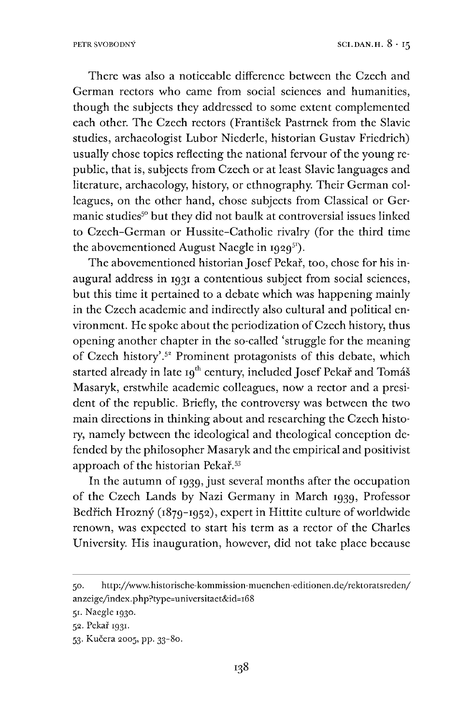There was also a noticeable difference between the Czech and German rectors who came from social sciences and humanities, though the subjects they addressed to some extent complemented each other. The Czech rectors (Frantisek Pastrnek from the Slavic studies, archaeologist Lubor Niederle, historian Gustav Friedrich) usually chose topics reflecting the national fervour of the young republic, that is, subjects from Czech or at least Slavic languages and literature, archaeology, history, or ethnography. Their German colleagues, on the other hand, chose subjects from Classical or Germanic studies<sup>50</sup> but they did not baulk at controversial issues linked to Czech-German or Hussite-Catholic rivalry (for the third time the abovementioned August Naegle in  $1929^{51}$  $1929^{51}$  $1929^{51}$ .

The abovementioned historian Josef Pekař, too, chose for his inaugural address in 1931 a contentious subject from social sciences, but this time it pertained to a debate which was happening mainly in the Czech academic and indirectly also cultural and political environment. He spoke about the periodization ofCzech history, thus opening another chapter in the so-called 'struggle for the meaning of Czech history'.<sup>58</sup> Prominent protagonists of this debate, which started already in late 19<sup>th</sup> century, included Josef Pekař and Tomáš Masaryk, erstwhile academic colleagues, now a rector and a president of the republic. Briefly, the controversy was between the two main directions in thinking about and researching the Czech history, namely between the ideological and theological conception defended by the philosopher Masaryk and the empirical and positivist approach of the historian Pekař.<sup>[53](#page-16-1)</sup>

In the autumn of 1939, just several months after the occupation of the Czech Lands by Nazi Germany in March 1939, Professor Bedřich Hrozný (1879-1952), expert in Hittite culture of worldwide renown, was expected to start his term as a rector of the Charles University. His inauguration, however, did not take place because

<sup>50.</sup> http://www.historische-kommission-muenchen-editionen.de/rektoratsreden/ anzeige/index.php?type=universitaet&id=i68

<span id="page-16-0"></span><sup>51.</sup> Naegle 1930.

<sup>52.</sup> Pekar 1931.

<span id="page-16-1"></span><sup>53.</sup> Kučera 2005, pp. 33-80.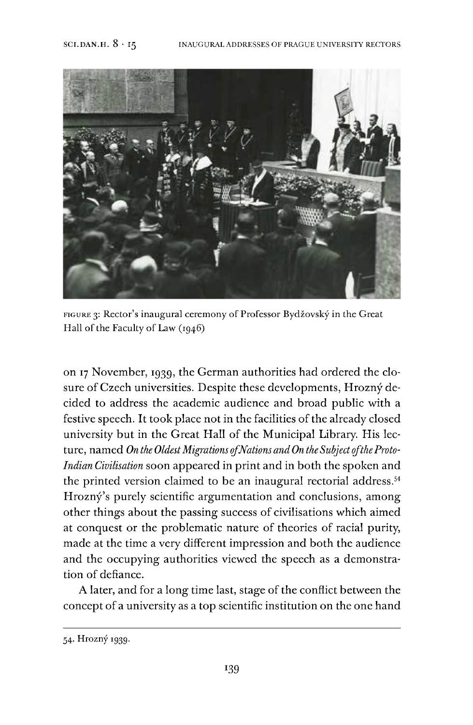

FIGURE 3: Rector's inaugural ceremony of Professor Bydžovský in the Great Hall of the Faculty of Law  $(1946)$ 

on <sup>17</sup> November, 1939, the German authorities had ordered the closure of Czech universities. Despite these developments, Hrozný decided to address the academic audience and broad public with a festive speech. It took place not in the facilities of the already closed university but in the Great Hall of the Municipal Library. His lecture, named *On the OldestMigrations ofNations and On the SubjectoftheProto-Indian Civilisation* soon appeared in print and in both the spoken and the printed version claimed to be an inaugural rectorial address.<sup>[54](#page-17-0)</sup> Hrozný's purely scientific argumentation and conclusions, among other things about the passing success of civilisations which aimed at conquest or the problematic nature of theories of racial purity, made at the time a very different impression and both the audience and the occupying authorities viewed the speech as a demonstration of defiance.

A later, and for a long time last, stage of the conflict between the concept of a university as a top scientific institution on the one hand

<span id="page-17-0"></span><sup>54.</sup> Hrozny 1939.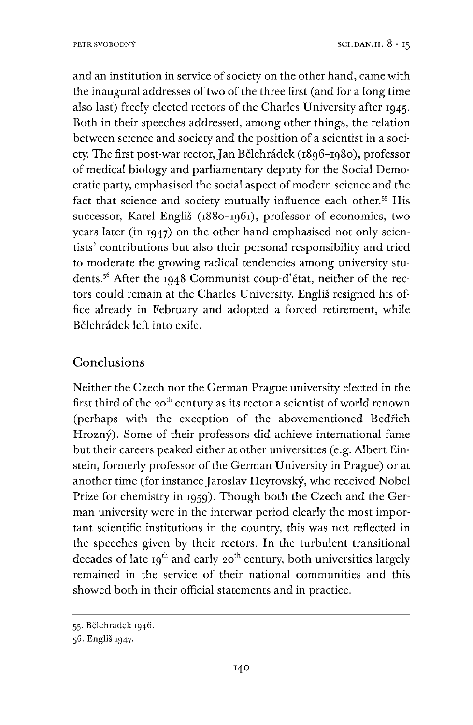and an institution in service of society on the other hand, came with the inaugural addresses of two of the three first (and for a long time also last) freely elected rectors of the Charles University after 1945. Both in their speeches addressed, among other things, the relation between science and society and the position of a scientist in a society. The first post-war rector, Jan Bělehrádek (1896–1980), professor of medical biology and parliamentary deputy for the Social Democratic party, emphasised the social aspect of modern science and the fact that science and society mutually influence each other.<sup>[55](#page-18-0)</sup> His successor, Karel Englis (1880-1961), professor of economics, two years later (in 1947) on the other hand emphasised not only scientists' contributions but also their personal responsibility and tried to moderate the growing radical tendencies among university students.[56](#page-18-1) After the 1948 Communist coup-d'état, neither of the rectors could remain at the Charles University. Englis resigned his office already in February and adopted a forced retirement, while Bélehrådek left into exile.

# Conclusions

Neither the Czech nor the German Prague university elected in the first third of the 20<sup>th</sup> century as its rector a scientist of world renown (perhaps with the exception of the abovementioned Bedrich Hrozný). Some of their professors did achieve international fame but their careers peaked either at other universities (e.g. Albert Einstein, formerly professor of the German University in Prague) or at another time (for instance Jaroslav Heyrovsky, who received Nobel Prize for chemistry in 1959). Though both the Czech and the German university were in the interwar period clearly the most important scientific institutions in the country, this was not reflected in the speeches given by their rectors. In the turbulent transitional decades of late 19<sup>th</sup> and early 20<sup>th</sup> century, both universities largely remained in the service of their national communities and this showed both in their official statements and in practice.

<span id="page-18-0"></span><sup>55.</sup> Bélehrådek 1946.

<span id="page-18-1"></span><sup>56.</sup> Englis 1947.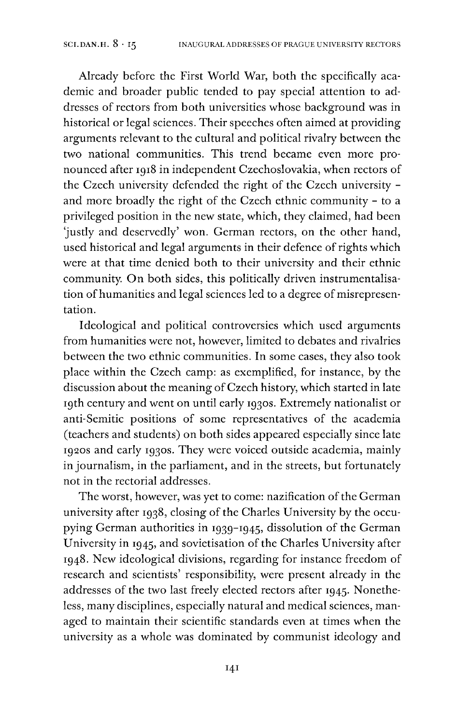Already before the First World War, both the specifically academic and broader public tended to pay special attention to addresses of rectors from both universities whose background was in historical or legal sciences. Their speeches often aimed at providing arguments relevant to the cultural and political rivalry between the two national communities. This trend became even more pronounced after 1918 in independent Czechoslovakia, when rectors of the Czech university defended the right of the Czech university and more broadly the right of the Czech ethnic community - to a privileged position in the new state, which, they claimed, had been 'justly and deservedly' won. German rectors, on the other hand, used historical and legal arguments in their defence of rights which were at that time denied both to their university and their ethnic community. On both sides, this politically driven instrumentalisation of humanities and legal sciences led to a degree of misrepresentation.

Ideological and political controversies which used arguments from humanities were not, however, limited to debates and rivalries between the two ethnic communities. In some cases, they also took place within the Czech camp: as exemplified, for instance, by the discussion about the meaning of Czech history, which started in late 19th century and went on until early 1930s. Extremely nationalist or anti-Semitic positions of some representatives of the academia (teachers and students) on both sides appeared especially since late 1920s and early 1930s. They were voiced outside academia, mainly in journalism, in the parliament, and in the streets, but fortunately not in the rectorial addresses.

The worst, however, was yet to come: nazification of the German university after 1938, closing of the Charles University by the occupying German authorities in 1939-1945, dissolution of the German University in 1945, and sovietisation of the Charles University after 1948. New ideological divisions, regarding for instance freedom of research and scientists' responsibility, were present already in the addresses of the two last freely elected rectors after 1945. Nonetheless, many disciplines, especially natural and medical sciences, managed to maintain their scientific standards even at times when the university as a whole was dominated by communist ideology and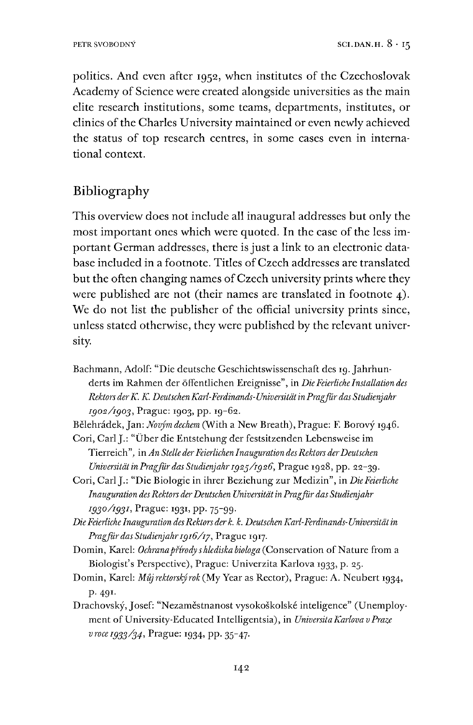politics. And even after 1952, when institutes of the Czechoslovak Academy of Science were created alongside universities as the main elite research institutions, some teams, departments, institutes, or clinics of the Charles University maintained or even newly achieved the status of top research centres, in some cases even in international context.

## Bibliography

This overview does not include all inaugural addresses but only the most important ones which were quoted. In the case of the less important German addresses, there is just a link to an electronic database included in a footnote. Titles of Czech addresses are translated but the often changing names of Czech university prints where they were published are not (their names are translated in footnote 4). We do not list the publisher of the official university prints since, unless stated otherwise, they were published by the relevant university.

- Bachmann, Adolf: "Die deutsche Geschichtswissenschaft des 19. Jahrhunderts im Rahmen der öffentlichen Ereignisse", in *DieFeierliche Installation des Rektors derK. K. DeutschenKarl-Ferdinands-UniversitätinPragjur das Studienjahr 1902/1903,* Prague: 1903, pp. 19-62.
- Bélehrådek,Jan: *Novym dechem* (With a New Breath), Prague: F. Borovy 1946.
- Cori, CarlJ.: "Über die Entstehung der festsitzenden Lebensweise im Tierreich", in*An Stelle derFeierlichen Inauguration desRektors derDeutschen Universität in Pragjur das Studienjahr 1925/1926,* Prague 1928, pp. 22-39.
- Cori, CarlJ.: "Die Biologie in ihrer Beziehung zur Medizin", in *DieFeierliche Inauguration desRektors derDeutschen Universität in Pragjur das Studienjahr* 1930/1931, Prague: 1931, pp. 75-99.
- *DieFeierliche Inauguration desRektors der k. k. Deutschen Karl-Ferdinands-Universität in Pragjurdas Studienjahr1916/1/,* Prague 1917.
- Domin, Karel: *Ochrana přírody s hlediska biologa* (Conservation of Nature from a Biologist's Perspective), Prague: Univerzita Karlova 1933, p. 25.
- Domin, Karel: *Müj rektorsky rok* (My Year as Rector), Prague: A. Neubert 1934, p. 491.
- Drachovsky,Josef: "Nezaméstnanost vysokoskolské inteligence" (Unemployment of University-Educated Intelligentsia), in *UniversitaKarlova vPraze vroce 1933/34,* Prague: 1934, pp. 35-47.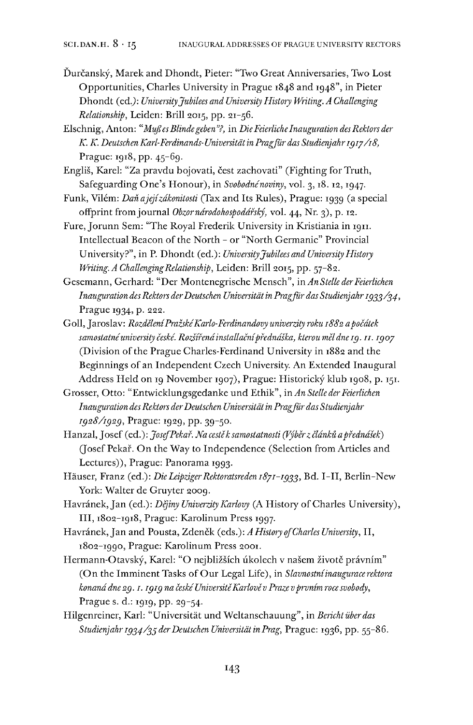- Ďurčanský, Marek and Dhondt, Pieter: "Two Great Anniversaries, Two Lost Opportunities, Charles University in Prague 1848 and 1948", in Pieter Dhondt fed.): *UniversityJubilees and University History Writing. A Challenging Relationship,* Leiden: Brill 2015, pp. 21-56.
- Elschnig, Anton: *"MußesBlindegeben''?,* in *DieFeierliche Inauguration desRektors der K. K. Deutschen Karl-Ferdinands-Universität in Pragjur das Studienjahr1917/18,* Prague: 1918, pp. 45-69.
- Engliš, Karel: "Za pravdu bojovati, čest zachovati" (Fighting for Truth, Safeguarding One's Honour), in *Svobodné noviny*, vol. 3, 18. 12, 1947.
- Funk, Vilém: *Dan ajejizakonitosti* (Tax and Its Rules), Prague: 1939 (a special offprint fromjournal *Obzorndrodohospodafsky,* vol. 44, Nr. 3), p. 12.
- Fure, Jorunn Sem: "The Royal Frederik University in Kristiania in 1911. Intellectual Beacon of the North - or "North Germanic" Provincial University?", in P. Dhondt (ed.): *UniversityJubilees and University History Writing. A ChallengingRelationship,* Leiden: Brill 2015, pp. 57-82.
- Gesemann, Gerhard: "Der Montenegrische Mensch", in*An Stelle derFeierlichen Inauguration desRektors derDeutschen Universität in Pragjur das Studienjahr 1933/34,* Prague 1934, p. 222.
- Goll,Jaroslav: *RozdeleniPrazskéKarlo-Ferdinandovy univerzity roku 1882 apocätek samostatnéuniversity ceské. Ilo/ffendinstallacnipfedndska, kterou meldne 19.11.1907* (Division of the Prague Charles-Ferdinand University in 1882 and the Beginnings of an Independent Czech University. An Extended Inaugural Address Held on 19 November 1907), Prague: Historický klub 1908, p. 151.
- Grosser, Otto: "Entwicklungsgedanke und Ethik", in*An Stelle derFeierlichen Inauguration desRektors derDeutschen Universität in Pragjurdas Studienjahr 1928/1929,* Prague: 1929, pp. 39-50.
- Hanzal, Josef (ed.): *Josef Pekař. Na cestě k samostatnosti (Výběr z článků a přednášek)* (Josef Pekař. On the Way to Independence (Selection from Articles and Lectures)), Prague: Panorama 1993.
- Häuser, Franz (ed.): *DieLeipzigerRektoratsreden 1871-1933,* Bd. I—II, Berlin-New York: Walter de Gruyter 2009.
- Havränek,Jan (ed.): *Dejiny Univerzity Karlovy* (A History ofCharles University), III, 1802-1918, Prague: Karolinum Press 1997.
- Havränek,Jan and Pousta, Zdenék (eds.): *A History ojCharles University,* II, 1802-1990, Prague: Karolinum Press 2001.
- Hermann-Otavský, Karel: "O nejbližších úkolech v našem životě právním" (On the Imminent Tasks of Our Legal Life), in *Slavnostní inaugurace rektora konanddne29.1.1919 na ceskéUniversitéKarlovév Praze vprvnim rocesvobody,* Prague s. d.: 1919, pp. 29-54.
- Hilgenreiner, Karl: "Universität und Weltanschauung", in *Bericht überdas Studienjahr 1934/33 derDeutschen Universität in Prag,* Prague: 1936, pp. 55-86.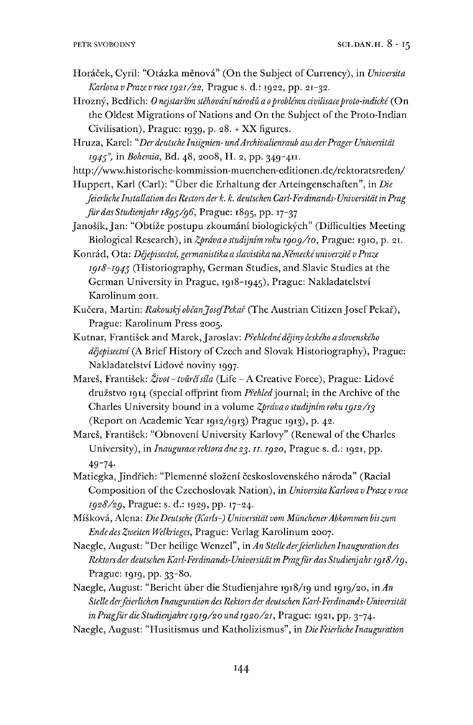- Horåcek, Cyril: "Otåzka ménovå" (On the Subject ofCurrency), in *Universita KarlovavPrazevroce1921/22,* Prague s. d.: 1922, pp. 21-32.
- Hrozný, Bedřich: Onejstarším stěhování národů a o problému civilisace proto-indické (On the Oldest Migrations of Nations and On the Subject of the Proto-Indian Civilisation), Prague: 1939, p. 28. + XX figures.
- Hruza, Karel: *"Derdeutsche Insignien- undArchivalienraub aus derPrager Universität 1949",* in *Bohemia,* Bd. 48, 2008, H. 2, pp. 349-411.

http://www.historische-kommission-muenchen-editionen.de/rektoratsreden/

Huppert, Karl (Carl): "Über die Erhaltung der Arteingenschaften", in *Die feierliche Installation desRectors der k. k. deutschen Carl-Ferdinands-Universität in Prag Jurdas Studienjahr 1899/96,* Prague: 1895, pp. 17-37

Janošík, Jan: "Obtíže postupu zkoumání biologických" (Difficulties Meeting Biological Research), in *Zprdvaostudijnimroku 1909/10,* Prague: 1910, p. 21.

- Konrad, Ota: *Dejepisectvi, germanistika a slavistika naNemeckéuniverzite vPraze 1918-1949* (Historiography, German Studies, and Slavic Studies at the German University in Prague, 1918-1945), Prague: Nakladatelstvi Karolinum 2011.
- Kučera, Martin: *Rakouský občan Josef Pekař* (The Austrian Citizen Josef Pekař), Prague: Karolinum Press 2005.
- Kutnar, Frantisek and Marek,Jaroslav: *Pfehlednédejiny ceského aslovenského* dějepisectví (A Brief History of Czech and Slovak Historiography), Prague: Nakladatelstvi Lidové noviny 1997.
- Mares, Frantisek: *Zivot-tvurcisila* (Life A Creative Force), Prague: Lidové družstvo 1914 (special offprint from *Přehled* journal; in the Archive of the Charles University bound in a volume *Zprdvaostudijnimroku 1912/19* (Report on Academic Year 1912/1913) Prague 1913), p. 42.
- Mareš, František: "Obnovení University Karlovy" (Renewal of the Charles University), in *Inauguracerektoradne29.11.1920,* Prague s. d.: 1921, pp. 49-74-
- Matiegka, Jindřich: "Plemenné složení československého národa" (Racial Composition of the Czechoslovak Nation), in *Universita Karlova v Praze v roce 1928/29,* Prague: s. d.: 1929, pp. 17-24.
- Miskova, Alena: *DieDeutsche (Karls-) Universität vom MünchenerAbkommen biszum Ende des Zweiten Welkrieges,* Prague: Verlag Karolinum 2007.
- Naegle, August: "Der heilige Wenzel", in *An Stelle derfeierlichen Inauguration des Rektors derdeutschen Karl-Ferdinands-Universität in Pragfürdas Studienjahr1918/19,* Prague: 1919, pp. 33-80.
- Naegle, August: "Bericht über die Studienjahre 1918/19 und 1919/20, in *An Stelle derfeierlichen Inauguration desRektors der deutschen Karl-Ferdinands-Universität inPragfürdieStudienjahrei9i9/2Oundi92o/2i,* Prague: 1921, pp. 3-74.
- Naegle, August: "Husitismus und Katholizismus", in *DieFeierliche Inauguration*